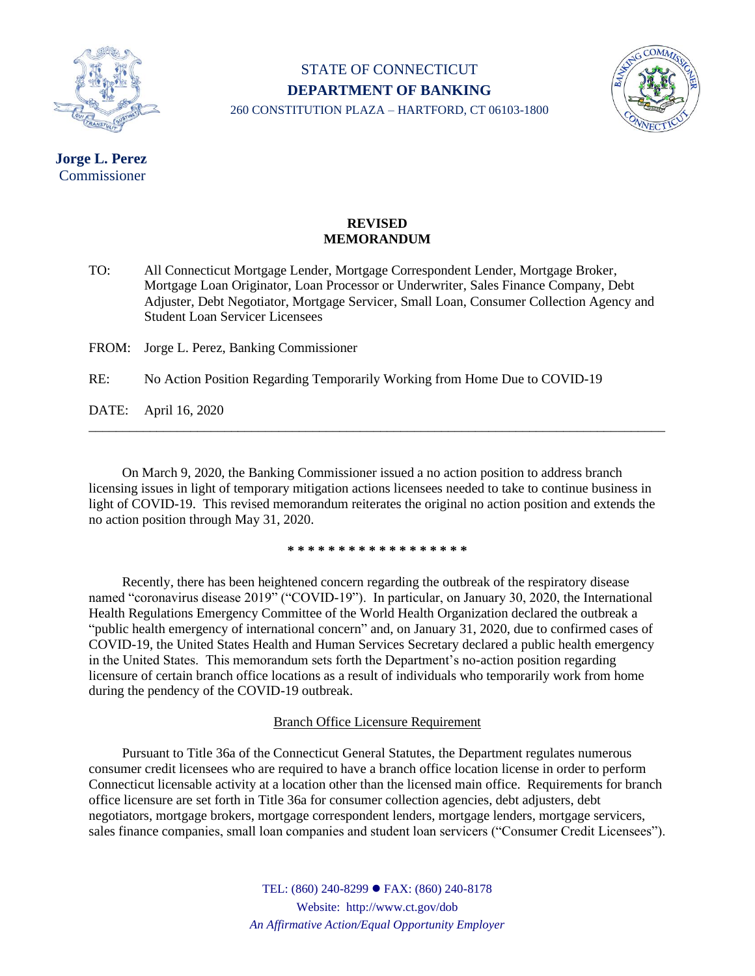

# STATE OF CONNECTICUT **DEPARTMENT OF BANKING**



260 CONSTITUTION PLAZA – HARTFORD, CT 06103-1800

## **Jorge L. Perez** Commissioner

#### **REVISED MEMORANDUM**

TO: All Connecticut Mortgage Lender, Mortgage Correspondent Lender, Mortgage Broker, Mortgage Loan Originator, Loan Processor or Underwriter, Sales Finance Company, Debt Adjuster, Debt Negotiator, Mortgage Servicer, Small Loan, Consumer Collection Agency and Student Loan Servicer Licensees

FROM: Jorge L. Perez, Banking Commissioner

RE: No Action Position Regarding Temporarily Working from Home Due to COVID-19

DATE: April 16, 2020

On March 9, 2020, the Banking Commissioner issued a no action position to address branch licensing issues in light of temporary mitigation actions licensees needed to take to continue business in light of COVID-19. This revised memorandum reiterates the original no action position and extends the no action position through May 31, 2020.

\_\_\_\_\_\_\_\_\_\_\_\_\_\_\_\_\_\_\_\_\_\_\_\_\_\_\_\_\_\_\_\_\_\_\_\_\_\_\_\_\_\_\_\_\_\_\_\_\_\_\_\_\_\_\_\_\_\_\_\_\_\_\_\_\_\_\_\_\_\_\_\_\_\_\_\_\_\_\_\_\_\_\_\_\_

**\* \* \* \* \* \* \* \* \* \* \* \* \* \* \* \* \* \***

Recently, there has been heightened concern regarding the outbreak of the respiratory disease named "coronavirus disease 2019" ("COVID-19"). In particular, on January 30, 2020, the International Health Regulations Emergency Committee of the World Health Organization declared the outbreak a "public health emergency of international concern" and, on January 31, 2020, due to confirmed cases of COVID-19, the United States Health and Human Services Secretary declared a public health emergency in the United States. This memorandum sets forth the Department's no-action position regarding licensure of certain branch office locations as a result of individuals who temporarily work from home during the pendency of the COVID-19 outbreak.

### Branch Office Licensure Requirement

Pursuant to Title 36a of the Connecticut General Statutes, the Department regulates numerous consumer credit licensees who are required to have a branch office location license in order to perform Connecticut licensable activity at a location other than the licensed main office. Requirements for branch office licensure are set forth in Title 36a for consumer collection agencies, debt adjusters, debt negotiators, mortgage brokers, mortgage correspondent lenders, mortgage lenders, mortgage servicers, sales finance companies, small loan companies and student loan servicers ("Consumer Credit Licensees").

> TEL: (860) 240-8299 ⚫ FAX: (860) 240-8178 Website: http://www.ct.gov/dob *An Affirmative Action/Equal Opportunity Employer*